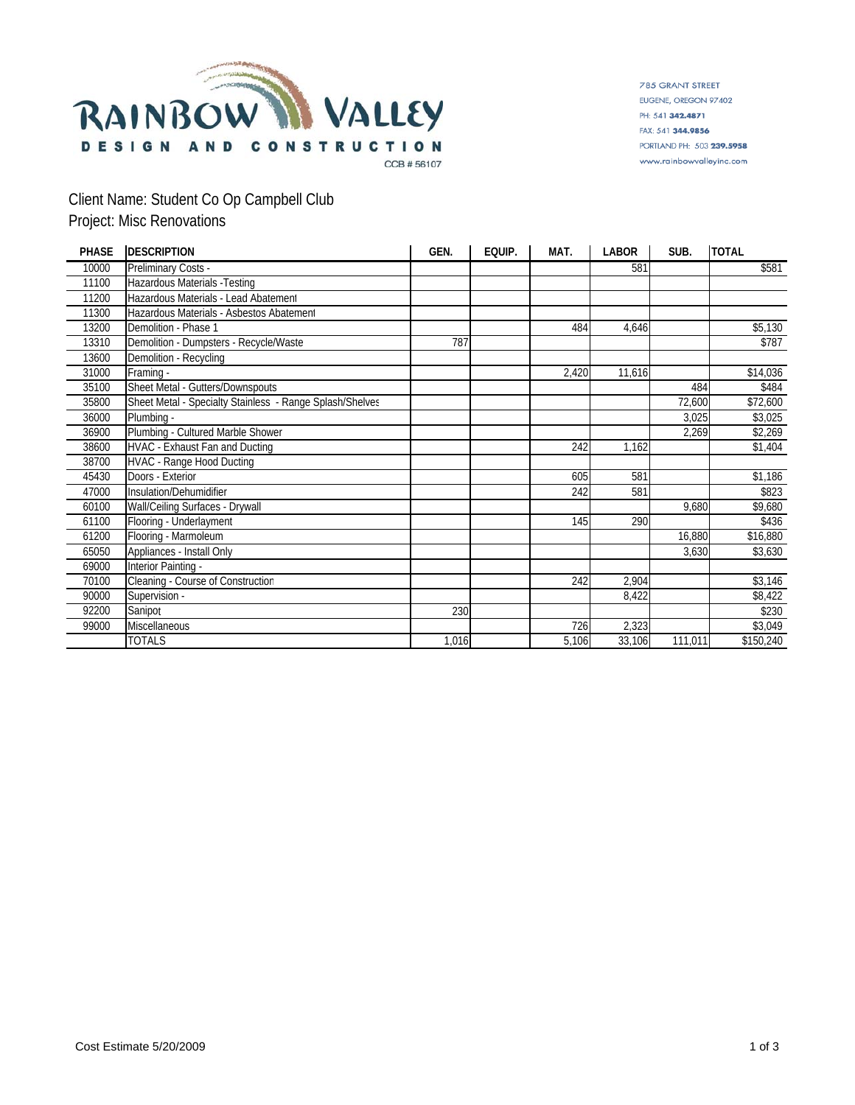

785 GRANT STREET EUGENE, OREGON 97402 PH: 541 342,4871 FAX: 541 344.9856 PORTLAND PH: 503 239.5958 www.rainbowvalleyinc.com

# Client Name: Student Co Op Campbell Club Project: Misc Renovations

| <b>PHASE</b> | <b>DESCRIPTION</b>                                       | GEN.  | EQUIP. | MAT.  | LABOR  | SUB.    | <b>TOTAL</b> |
|--------------|----------------------------------------------------------|-------|--------|-------|--------|---------|--------------|
| 10000        | Preliminary Costs -                                      |       |        |       | 581    |         | \$581        |
| 11100        | Hazardous Materials - Testing                            |       |        |       |        |         |              |
| 11200        | Hazardous Materials - Lead Abatement                     |       |        |       |        |         |              |
| 11300        | Hazardous Materials - Asbestos Abatement                 |       |        |       |        |         |              |
| 13200        | Demolition - Phase 1                                     |       |        | 484   | 4,646  |         | \$5,130      |
| 13310        | Demolition - Dumpsters - Recycle/Waste                   | 787   |        |       |        |         | \$787        |
| 13600        | Demolition - Recycling                                   |       |        |       |        |         |              |
| 31000        | Framing -                                                |       |        | 2,420 | 11,616 |         | \$14,036     |
| 35100        | Sheet Metal - Gutters/Downspouts                         |       |        |       |        | 484     | \$484        |
| 35800        | Sheet Metal - Specialty Stainless - Range Splash/Shelves |       |        |       |        | 72,600  | \$72,600     |
| 36000        | Plumbina -                                               |       |        |       |        | 3,025   | \$3,025      |
| 36900        | Plumbing - Cultured Marble Shower                        |       |        |       |        | 2,269   | \$2,269      |
| 38600        | HVAC - Exhaust Fan and Ducting                           |       |        | 242   | 1,162  |         | \$1,404      |
| 38700        | <b>HVAC - Range Hood Ducting</b>                         |       |        |       |        |         |              |
| 45430        | Doors - Exterior                                         |       |        | 605   | 581    |         | \$1,186      |
| 47000        | Insulation/Dehumidifier                                  |       |        | 242   | 581    |         | \$823        |
| 60100        | Wall/Ceiling Surfaces - Drywall                          |       |        |       |        | 9,680   | \$9,680      |
| 61100        | Flooring - Underlayment                                  |       |        | 145   | 290    |         | \$436        |
| 61200        | Flooring - Marmoleum                                     |       |        |       |        | 16,880  | \$16,880     |
| 65050        | Appliances - Install Only                                |       |        |       |        | 3,630   | \$3,630      |
| 69000        | Interior Painting -                                      |       |        |       |        |         |              |
| 70100        | Cleaning - Course of Construction                        |       |        | 242   | 2,904  |         | \$3,146      |
| 90000        | Supervision -                                            |       |        |       | 8,422  |         | \$8,422      |
| 92200        | Sanipot                                                  | 230   |        |       |        |         | \$230        |
| 99000        | <b>Miscellaneous</b>                                     |       |        | 726   | 2,323  |         | \$3,049      |
|              | <b>TOTALS</b>                                            | 1,016 |        | 5,106 | 33,106 | 111,011 | \$150,240    |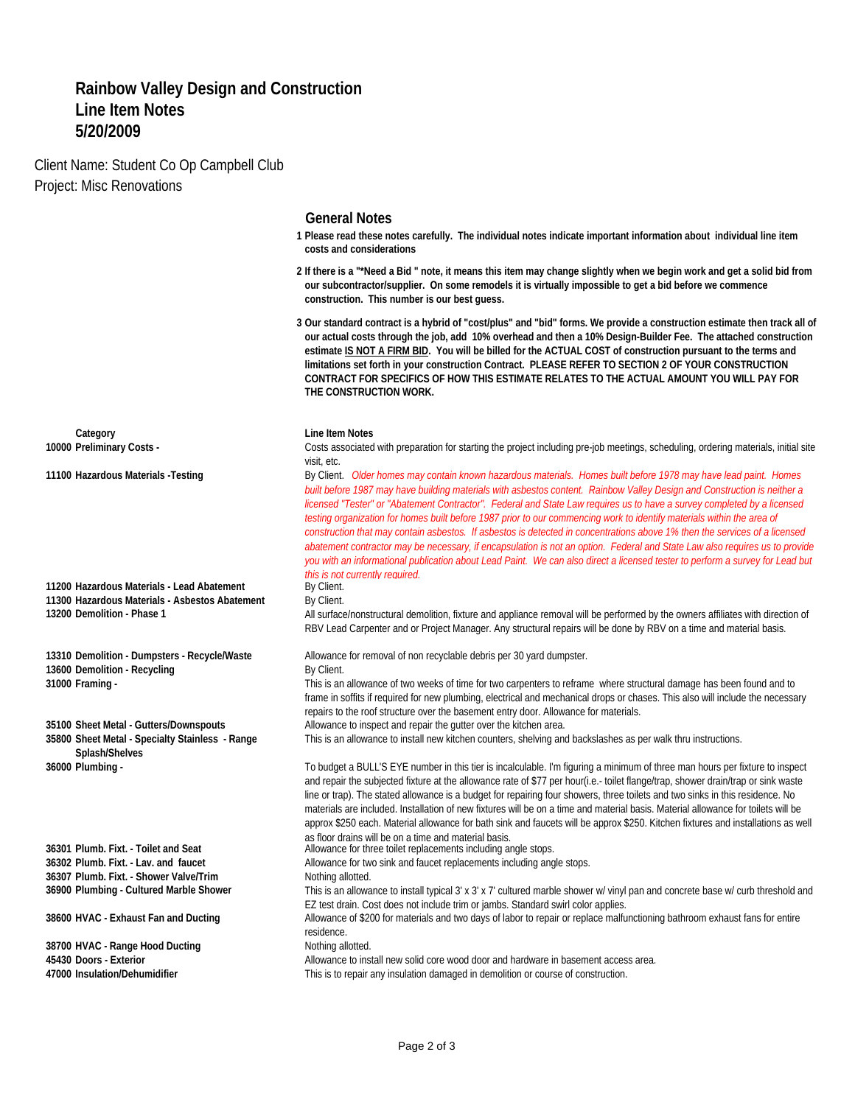## **Rainbow Valley Design and Construction Line Item Notes 5/20/2009**

Client Name: Student Co Op Campbell Club Project: Misc Renovations

### **General Notes**

- **1 Please read these notes carefully. The individual notes indicate important information about individual line item costs and considerations**
- **2 If there is a "\*Need a Bid " note, it means this item may change slightly when we begin work and get a solid bid from our subcontractor/supplier. On some remodels it is virtually impossible to get a bid before we commence construction. This number is our best guess.**
- **3 Our standard contract is a hybrid of "cost/plus" and "bid" forms. We provide a construction estimate then track all of our actual costs through the job, add 10% overhead and then a 10% Design-Builder Fee. The attached construction estimate IS NOT A FIRM BID. You will be billed for the ACTUAL COST of construction pursuant to the terms and limitations set forth in your construction Contract. PLEASE REFER TO SECTION 2 OF YOUR CONSTRUCTION CONTRACT FOR SPECIFICS OF HOW THIS ESTIMATE RELATES TO THE ACTUAL AMOUNT YOU WILL PAY FOR THE CONSTRUCTION WORK.**

**10000 Preliminary Costs** - **Costs associated with preparation for starting the project including pre-job meetings, scheduling, ordering materials, initial site** visit, etc.

11100 Hazardous Materials -Testing entity and the By Client. Older homes may contain known hazardous materials. Homes built before 1978 may have lead paint. Homes *built before 1987 may have building materials with asbestos content. Rainbow Valley Design and Construction is neither a licensed "Tester" or "Abatement Contractor". Federal and State Law requires us to have a survey completed by a licensed testing organization for homes built before 1987 prior to our commencing work to identify materials within the area of construction that may contain asbestos. If asbestos is detected in concentrations above 1% then the services of a licensed abatement contractor may be necessary, if encapsulation is not an option. Federal and State Law also requires us to provide you with an informational publication about Lead Paint. We can also direct a licensed tester to perform a survey for Lead but this is not currently required.*<br>By Client.

**13200 Demolition - Phase 1 All surface/nonstructural demolition, fixture and appliance removal will be performed by the owners affiliates with direction of** RBV Lead Carpenter and or Project Manager. Any structural repairs will be done by RBV on a time and material basis.

**13310 Demolition - Dumpsters - Recycle/Waste** Allowance for removal of non recyclable debris per 30 yard dumpster.

**31000 Framing -** This is an allowance of two weeks of time for two carpenters to reframe where structural damage has been found and to frame in soffits if required for new plumbing, electrical and mechanical drops or chases. This also will include the necessary repairs to the roof structure over the basement entry door. Allowance for materials.

This is an allowance to install new kitchen counters, shelving and backslashes as per walk thru instructions.

**36000 Plumbing -** To budget a BULL'S EYE number in this tier is incalculable. I'm figuring a minimum of three man hours per fixture to inspect and repair the subjected fixture at the allowance rate of \$77 per hour(i.e.- toilet flange/trap, shower drain/trap or sink waste line or trap). The stated allowance is a budget for repairing four showers, three toilets and two sinks in this residence. No materials are included. Installation of new fixtures will be on a time and material basis. Material allowance for toilets will be approx \$250 each. Material allowance for bath sink and faucets will be approx \$250. Kitchen fixtures and installations as well as floor drains will be on a time and material basis.

**36301 Plumb. Fixt. - Toilet and Seat** Allowance for three toilet replacements including angle stops.

**36302 Plumb. Fixt. - Lav. and faucet** Allowance for two sink and faucet replacements including angle stops.

**36900 Plumbing - Cultured Marble Shower** This is an allowance to install typical 3' x 3' x 7' cultured marble shower w/ vinyl pan and concrete base w/ curb threshold and EZ test drain. Cost does not include trim or jambs. Standard swirl color applies.

**38600 HVAC - Exhaust Fan and Ducting Allowance of \$200 for materials and two days of labor to repair or replace malfunctioning bathroom exhaust fans for entire** residence.

45430 Doors - Exterior **Allowance to install new solid core wood door and hardware in basement access area.**<br>47000 Insulation/Dehumidifier **Allowance in the State of Constant** This is to repair any insulation damaged in de

This is to repair any insulation damaged in demolition or course of construction.

**Category Category Line Item Notes** 

11200 Hazardous Materials - Lead Abatement. **11300 Hazardous Materials - Asbestos Abatement** By Client.

**13600 Demolition - Recycling Community Community By Client.** 

**35100 Sheet Metal - Gutters/Downspouts** Allowance to inspect and repair the gutter over the kitchen area. **35800 Sheet Metal - Specialty Stainless - Range Splash/Shelves**

**36307 Plumb. Fixt. - Shower Valve/Trim** Nothing allotted.

**38700 HVAC - Range Hood Ducting Noting Allotted.** Nothing allotted.